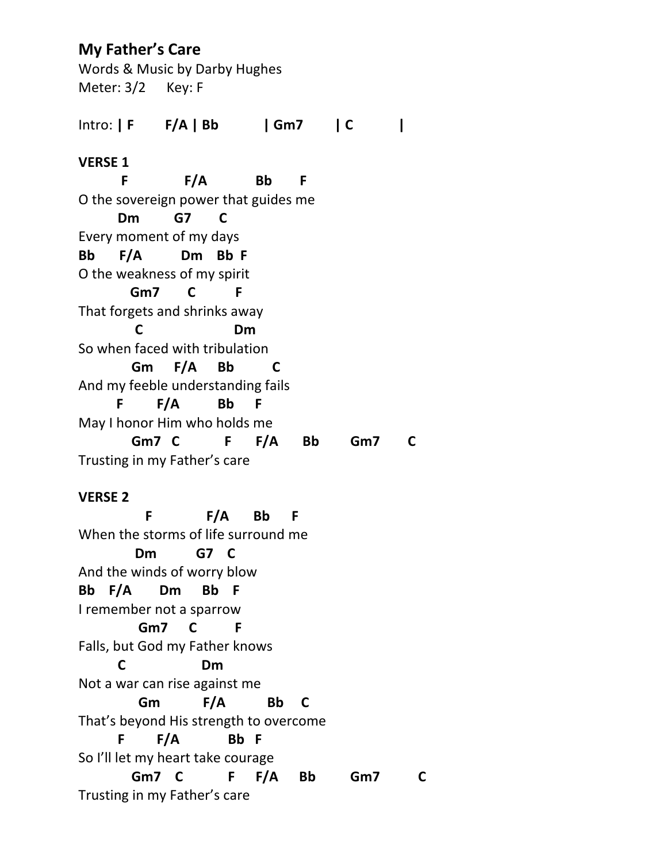# **My Father's Care**

Words & Music by Darby Hughes Meter: 3/2 Key: F

Intro: **| F F/A | Bb | Gm7 | C | VERSE 1 F F/A Bb F** O the sovereign power that guides me **Dm G7 C** Every moment of my days **Bb F/A Dm Bb F** O the weakness of my spirit  **Gm7 C F** That forgets and shrinks away  **C Dm** So when faced with tribulation  **Gm F/A Bb C** And my feeble understanding fails  **F F/A Bb F** May I honor Him who holds me  **Gm7 C F F/A Bb Gm7 C** Trusting in my Father's care

## **VERSE 2**

 **F F/A Bb F** When the storms of life surround me **Dm G7 C** And the winds of worry blow **Bb F/A Dm Bb F** I remember not a sparrow **Gm7 C F** Falls, but God my Father knows **C Dm** Not a war can rise against me **Gm F/A Bb C** That's beyond His strength to overcome **F F/A Bb F** So I'll let my heart take courage **Gm7 C F F/A Bb Gm7 C** Trusting in my Father's care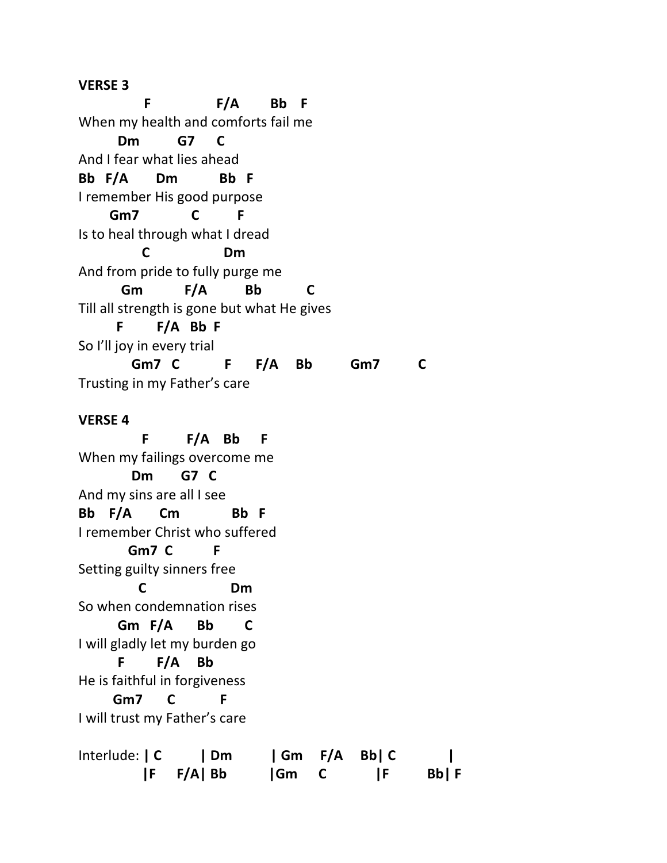#### **VERSE 3**

 **F F/A Bb F** When my health and comforts fail me **Dm G7 C** And I fear what lies ahead **Bb F/A Dm Bb F** I remember His good purpose **Gm7 C F** Is to heal through what I dread **C Dm** And from pride to fully purge me **Gm F/A Bb C** Till all strength is gone but what He gives **F F/A Bb F** So I'll joy in every trial **Gm7 C F F/A Bb Gm7 C** Trusting in my Father's care **VERSE 4 F F/A Bb F**  When my failings overcome me **Dm G7 C** And my sins are all I see **Bb F/A Cm Bb F**

I remember Christ who suffered **Gm7 C F** Setting guilty sinners free **C Dm** So when condemnation rises **Gm F/A Bb C** I will gladly let my burden go **F F/A Bb** He is faithful in forgiveness **Gm7 C F**

I will trust my Father's care

| Interlude:   C | $\mathsf{Im}$ |      | Gm F/A Bb  C |       |
|----------------|---------------|------|--------------|-------|
|                | $ F \tF/A Bb$ | Gm C | -IF          | Bb  F |